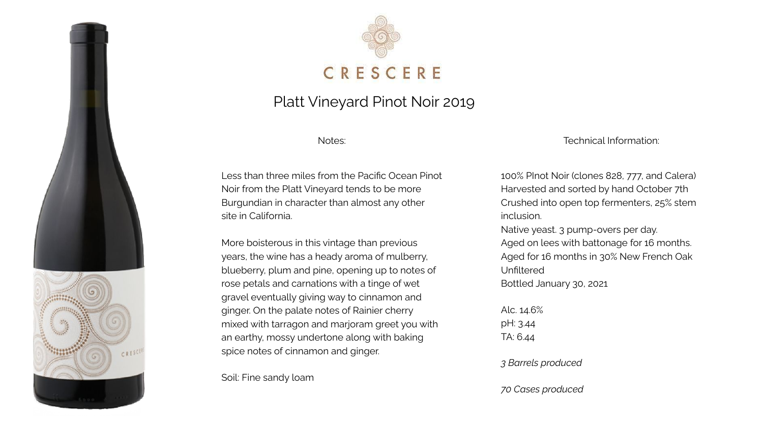



### Platt Vineyard Pinot Noir 2019

Notes:

Less than three miles from the Pacific Ocean Pinot Noir from the Platt Vineyard tends to be more Burgundian in character than almost any other site in California.

More boisterous in this vintage than previous years, the wine has a heady aroma of mulberry, blueberry, plum and pine, opening up to notes of rose petals and carnations with a tinge of wet gravel eventually giving way to cinnamon and ginger. On the palate notes of Rainier cherry mixed with tarragon and marjoram greet you with an earthy, mossy undertone along with baking spice notes of cinnamon and ginger.

Soil: Fine sandy loam

Technical Information:

100% PInot Noir (clones 828, 777, and Calera) Harvested and sorted by hand October 7th Crushed into open top fermenters, 25% stem inclusion. Native yeast. 3 pump-overs per day. Aged on lees with battonage for 16 months. Aged for 16 months in 30% New French Oak Unfiltered Bottled January 30, 2021

Alc. 14.6% pH: 3.44 TA: 6.44

*3 Barrels produced*

*70 Cases produced*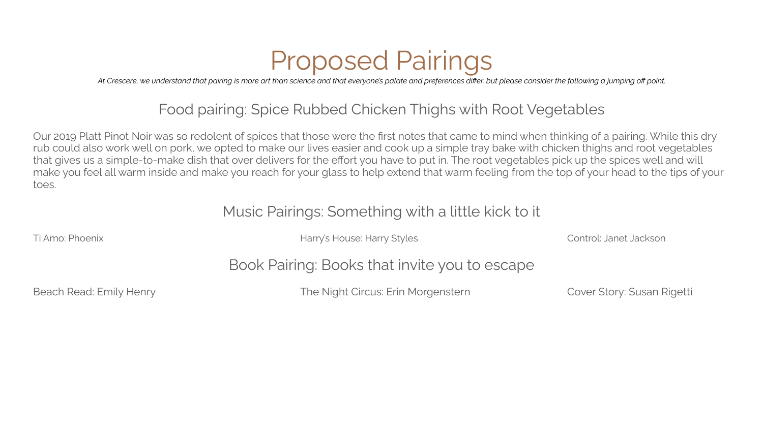# Proposed Pairings

*At Crescere, we understand that pairing is more art than science and that everyone's palate and preferences differ, but please consider the following a jumping off point.*

# Food pairing: Spice Rubbed Chicken Thighs with Root Vegetables

Our 2019 Platt Pinot Noir was so redolent of spices that those were the first notes that came to mind when thinking of a pairing. While this dry rub could also work well on pork, we opted to make our lives easier and cook up a simple tray bake with chicken thighs and root vegetables that gives us a simple-to-make dish that over delivers for the effort you have to put in. The root vegetables pick up the spices well and will make you feel all warm inside and make you reach for your glass to help extend that warm feeling from the top of your head to the tips of your toes.

#### Music Pairings: Something with a little kick to it

Ti Amo: Phoenix **Harry's House: Harry's House: Harry Styles** Control: Janet Jackson

# Book Pairing: Books that invite you to escape

Beach Read: Emily Henry The Night Circus: Erin Morgenstern Cover Story: Susan Rigetti